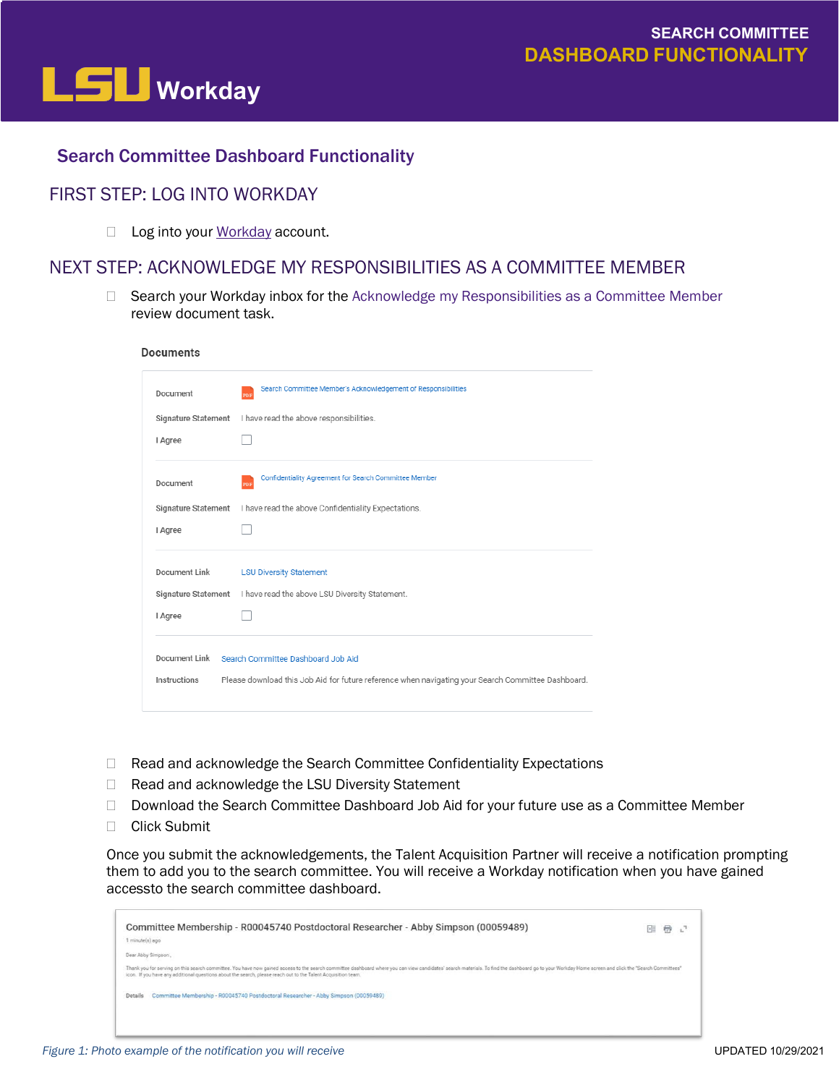

## Search Committee Dashboard Functionality

## FIRST STEP: LOG INTO WORKDAY

□ Log into your [Workday](https://www.myworkday.com/lsu/d/home.htmld) account.

## NEXT STEP: ACKNOWLEDGE MY RESPONSIBILITIES AS A COMMITTEE MEMBER

 $\Box$  Search your Workday inbox for the Acknowledge my Responsibilities as a Committee Member

| Document            | Search Committee Member's Acknowledgement of Responsibilities<br>PDF                               |
|---------------------|----------------------------------------------------------------------------------------------------|
| Signature Statement | I have read the above responsibilities.                                                            |
| I Agree             |                                                                                                    |
| Document            | Confidentiality Agreement for Search Committee Member<br>PDF                                       |
|                     | Signature Statement I have read the above Confidentiality Expectations.                            |
| I Agree             |                                                                                                    |
| Document Link       | <b>LSU Diversity Statement</b>                                                                     |
| Signature Statement | I have read the above LSU Diversity Statement.                                                     |
| I Agree             |                                                                                                    |
|                     | Document Link Search Committee Dashboard Job Aid                                                   |
| Instructions        | Please download this Job Aid for future reference when navigating your Search Committee Dashboard. |

- □ Read and acknowledge the Search Committee Confidentiality Expectations
- □ Read and acknowledge the LSU Diversity Statement
- □ Download the Search Committee Dashboard Job Aid for your future use as a Committee Member
- □ Click Submit

Once you submit the acknowledgements, the Talent Acquisition Partner will receive a notification prompting them to add you to the search committee. You will receive a Workday notification when you have gained accessto the search committee dashboard.

| Committee Membership - R00045740 Postdoctoral Researcher - Abby Simpson (00059489)<br>minute(s) ago                                                                                                                                                                                                                                             | 団 | 春记 |  |
|-------------------------------------------------------------------------------------------------------------------------------------------------------------------------------------------------------------------------------------------------------------------------------------------------------------------------------------------------|---|----|--|
| Dear Abby Simpson,                                                                                                                                                                                                                                                                                                                              |   |    |  |
| Thank you for serving on this search committee. You have now gained access to the search committee dashboard where you can view candidates' search materials. To find the dashboard go to your Workday Home screen and click t<br>icon. If you have any additional questions about the search, please reach out to the Talent Acquisition team. |   |    |  |
| Committee Membership - R00045740 Postdoctoral Researcher - Abby Simpson (00059489)<br>Details                                                                                                                                                                                                                                                   |   |    |  |
|                                                                                                                                                                                                                                                                                                                                                 |   |    |  |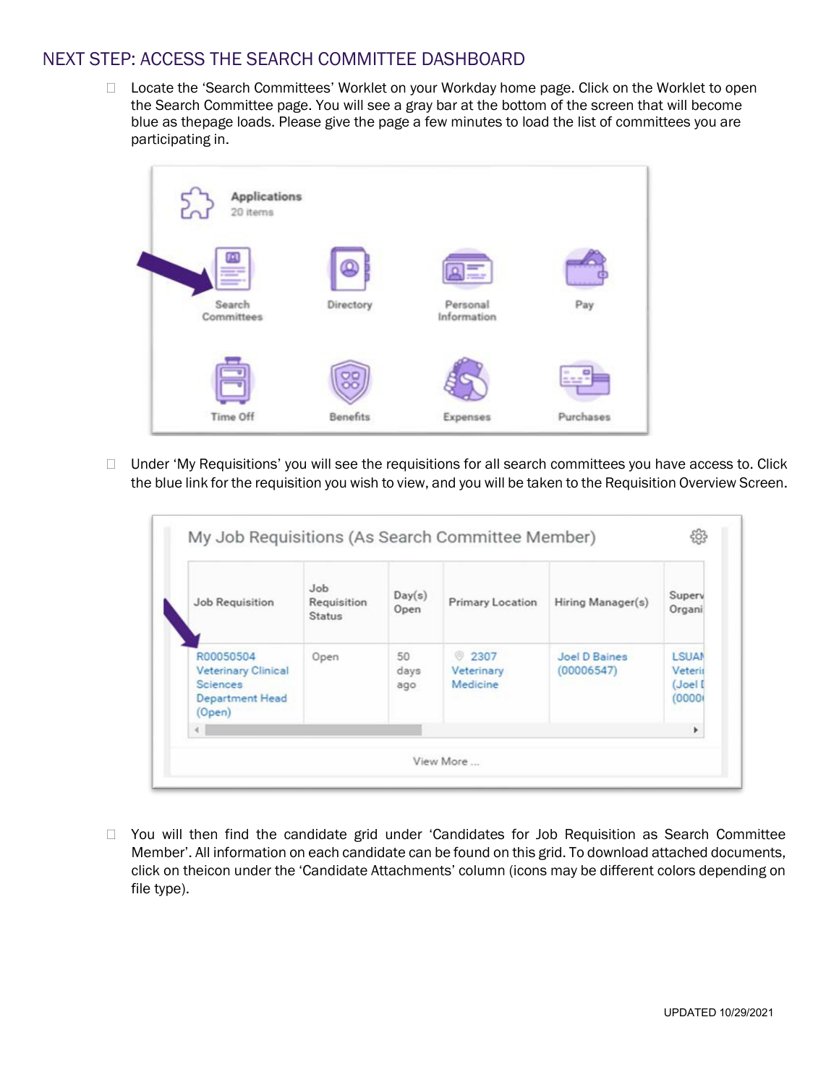## NEXT STEP: ACCESS THE SEARCH COMMITTEE DASHBOARD

□ Locate the 'Search Committees' Worklet on your Workday home page. Click on the Worklet to open the Search Committee page. You will see a gray bar at the bottom of the screen that will become blue as thepage loads. Please give the page a few minutes to load the list of committees you are participating in.



 $\Box$  Under 'My Requisitions' you will see the requisitions for all search committees you have access to. Click the blue link for the requisition you wish to view, and you will be taken to the Requisition Overview Screen.

| <b>Job Requisition</b>                                                                         | Job.<br>Requisition<br><b>Status</b> | Day(s)<br>Open    | <b>Primary Location</b>               | Hiring Manager(s)           | Superv<br>Organi                             |
|------------------------------------------------------------------------------------------------|--------------------------------------|-------------------|---------------------------------------|-----------------------------|----------------------------------------------|
| R00050504<br><b>Veterinary Clinical</b><br><b>Sciences</b><br><b>Department Head</b><br>(Open) | Open                                 | 50<br>days<br>ago | <b>2307</b><br>Veterinary<br>Medicine | Joel D Baines<br>(00006547) | <b>LSUAN</b><br>Veterit<br>(Joel I<br>(0000) |
|                                                                                                |                                      |                   |                                       |                             | r                                            |

 You will then find the candidate grid under 'Candidates for Job Requisition as Search Committee Member'. All information on each candidate can be found on this grid. To download attached documents, click on theicon under the 'Candidate Attachments' column (icons may be different colors depending on file type).